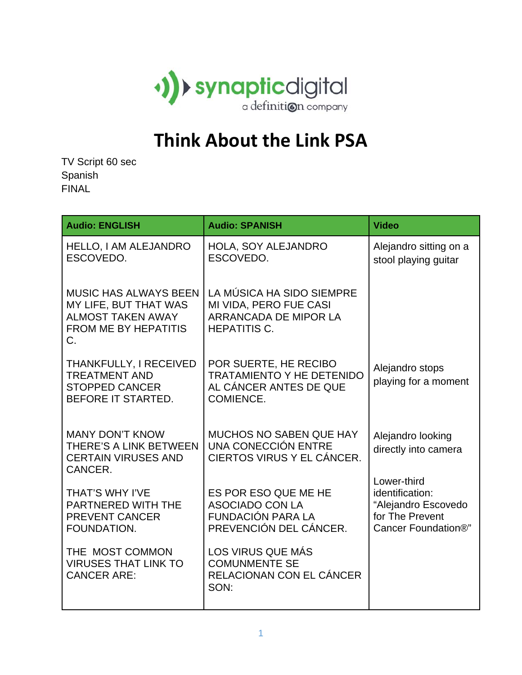

## **Think About the Link PSA**

TV Script 60 sec Spanish FINAL

| <b>Audio: ENGLISH</b>                                                                                                  | <b>Audio: SPANISH</b>                                                                               | <b>Video</b>                                                                                    |
|------------------------------------------------------------------------------------------------------------------------|-----------------------------------------------------------------------------------------------------|-------------------------------------------------------------------------------------------------|
| <b>HELLO, I AM ALEJANDRO</b><br>ESCOVEDO.                                                                              | HOLA, SOY ALEJANDRO<br>ESCOVEDO.                                                                    | Alejandro sitting on a<br>stool playing guitar                                                  |
| <b>MUSIC HAS ALWAYS BEEN</b><br>MY LIFE, BUT THAT WAS<br><b>ALMOST TAKEN AWAY</b><br><b>FROM ME BY HEPATITIS</b><br>C. | LA MÚSICA HA SIDO SIEMPRE<br>MI VIDA, PERO FUE CASI<br>ARRANCADA DE MIPOR LA<br><b>HEPATITIS C.</b> |                                                                                                 |
| THANKFULLY, I RECEIVED<br><b>TREATMENT AND</b><br><b>STOPPED CANCER</b><br>BEFORE IT STARTED.                          | POR SUERTE, HE RECIBO<br><b>TRATAMIENTO Y HE DETENIDO</b><br>AL CÁNCER ANTES DE QUE<br>COMIENCE.    | Alejandro stops<br>playing for a moment                                                         |
| <b>MANY DON'T KNOW</b><br>THERE'S A LINK BETWEEN<br><b>CERTAIN VIRUSES AND</b><br>CANCER.                              | <b>MUCHOS NO SABEN QUE HAY</b><br>UNA CONECCIÓN ENTRE<br>CIERTOS VIRUS Y EL CÁNCER.                 | Alejandro looking<br>directly into camera                                                       |
| THAT'S WHY I'VE<br>PARTNERED WITH THE<br><b>PREVENT CANCER</b><br>FOUNDATION.                                          | ES POR ESO QUE ME HE<br><b>ASOCIADO CON LA</b><br>FUNDACIÓN PARA LA<br>PREVENCIÓN DEL CÁNCER.       | Lower-third<br>identification:<br>"Alejandro Escovedo<br>for The Prevent<br>Cancer Foundation®" |
| THE MOST COMMON<br><b>VIRUSES THAT LINK TO</b><br><b>CANCER ARE:</b>                                                   | LOS VIRUS QUE MÁS<br><b>COMUNMENTE SE</b><br>RELACIONAN CON EL CÁNCER<br>SON:                       |                                                                                                 |